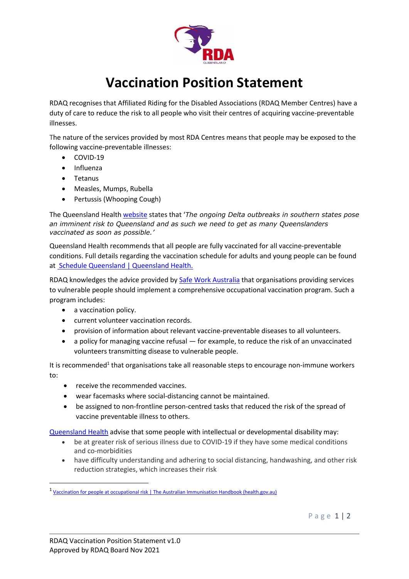

## **Vaccination Position Statement**

RDAQ recognises that Affiliated Riding for the Disabled Associations (RDAQ Member Centres) have a duty of care to reduce the risk to all people who visit their centres of acquiring vaccine-preventable illnesses.

The nature of the services provided by most RDA Centres means that people may be exposed to the following vaccine-preventable illnesses:

- COVID-19
- Influenza
- Tetanus
- Measles, Mumps, Rubella
- Pertussis (Whooping Cough)

The Queensland Health [website](https://www.health.qld.gov.au/clinical-practice/guidelines-procedures/novel-coronavirus-qld-clinicians/covid-19-vaccination-information-for-healthcare-workers/current-vaccination-recommendations) states that '*The ongoing Delta outbreaks in southern states pose an imminent risk to Queensland and as such we need to get as many Queenslanders vaccinated as soon as possible.'*

Queensland Health recommends that all people are fully vaccinated for all vaccine-preventable conditions. Full details regarding the vaccination schedule for adults and young people can be found a[t Schedule Queensland | Queensland Health.](https://www.health.qld.gov.au/clinical-practice/guidelines-procedures/diseases-infection/immunisation/schedule)

RDAQ knowledges the advice provided by [Safe Work Australia](https://www.safeworkaustralia.gov.au/topic/volunteers) that organisations providing services to vulnerable people should implement a comprehensive occupational vaccination program. Such a program includes:

- a vaccination policy.
- current volunteer vaccination records.
- provision of information about relevant vaccine-preventable diseases to all volunteers.
- a policy for managing vaccine refusal for example, to reduce the risk of an unvaccinated volunteers transmitting disease to vulnerable people.

It is recommended<sup>1</sup> that organisations take all reasonable steps to encourage non-immune workers to:

- receive the recommended vaccines.
- wear facemasks where social-distancing cannot be maintained.
- be assigned to non-frontline person-centred tasks that reduced the risk of the spread of vaccine preventable illness to others.

[Queensland Health](https://www.health.gov.au/sites/default/files/documents/2020/05/information-for-disability-support-providers-and-workers_0.pdf) advise that some people with intellectual or developmental disability may:

- be at greater risk of serious illness due to COVID-19 if they have some medical conditions and co-morbidities
- have difficulty understanding and adhering to social distancing, handwashing, and other risk reduction strategies, which increases their risk

<sup>&</sup>lt;sup>1</sup> [Vaccination for people at occupational risk | The Australian Immunisation Handbook \(health.gov.au\)](https://immunisationhandbook.health.gov.au/vaccination-for-special-risk-groups/vaccination-for-people-at-occupational-risk)